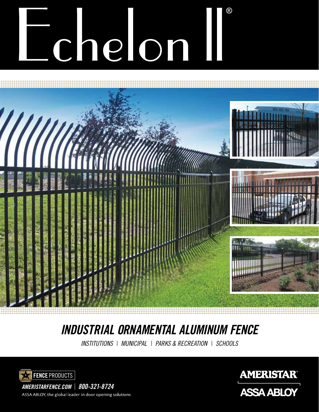# Chelon



## *INDUSTRIAL ORNAMENTAL ALUMINUM FENCE*

*INSTITUTIONS* | *MUNICIPAL* | *PARKS & RECREATION* | *SCHOOLS*





ASSA ABLOY, the global leader in door opening solutions

*AMERISTARFENCE.COM* | *800-321-8724*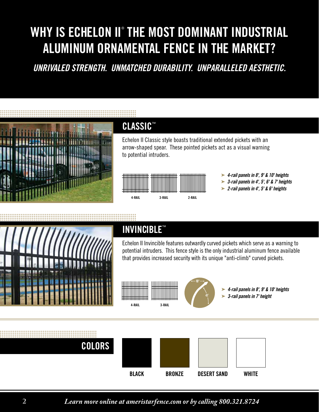### WHY IS ECHELON II® THE MOST DOMINANT INDUSTRIAL ALUMINUM ORNAMENTAL FENCE IN THE MARKET?

*UNRIVALED STRENGTH. UNMATCHED DURABILITY. UNPARALLELED AESTHETIC.* 



### CLASSIC™

Echelon II Classic style boasts traditional extended pickets with an arrow-shaped spear. These pointed pickets act as a visual warning to potential intruders.



- *4-rail panels in 8', 9' & 10' heights* ➤
- *3-rail panels in 4', 5', 6' & 7' heights* ➤
- *2-rail panels in 4', 5' & 6' heights* ➤



### INVINCIBLE™

Echelon II Invincible features outwardly curved pickets which serve as a warning to potential intruders. This fence style is the only industrial aluminum fence available that provides increased security with its unique "anti-climb" curved pickets.



41˚ 10"

*4-rail panels in 8', 9' & 10' heights* ➤ *3-rail panels in 7' height* ➤



**2 Learn more online at ameristarfence.com or by calling 800.321.8724**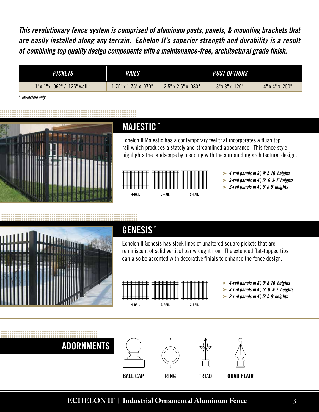*This revolutionary fence system is comprised of aluminum posts, panels, & mounting brackets that are easily installed along any terrain. Echelon II's superior strength and durability is a result of combining top quality design components with a maintenance-free, architectural grade finish.*

| <i><b>PICKETS</b></i>             | <i><b>RAILS</b></i>            | <b>POST OPTIONS</b>             |                             |                             |
|-----------------------------------|--------------------------------|---------------------------------|-----------------------------|-----------------------------|
| $1$ "x $1$ "x .062" / .125" wall* | $1.75$ " x $1.75$ " x $.070$ " | $2.5" \times 2.5" \times .080"$ | $3" \times 3" \times .120"$ | $4" \times 4" \times .250"$ |

\* *Invincible only*



### **MAJESTIC™**

Echelon II Majestic has a contemporary feel that incorporates a flush top rail which produces a stately and streamlined appearance. This fence style highlights the landscape by blending with the surrounding architectural design.



- *4-rail panels in 8', 9' & 10' heights* ➤
- *3-rail panels in 4', 5', 6' & 7' heights* ➤
- *2-rail panels in 4', 5' & 6' heights* ➤



### GENESIS<sup>™</sup>

Echelon II Genesis has sleek lines of unaltered square pickets that are reminiscent of solid vertical bar wrought iron. The extended flat-topped tips can also be accented with decorative finials to enhance the fence design.



- *4-rail panels in 8', 9' & 10' heights* ➤
- *3-rail panels in 4', 5', 6' & 7' heights* ➤
- *2-rail panels in 4', 5' & 6' heights* ➤



#### **ECHELON II 3 ®** | **Industrial Ornamental Aluminum Fence**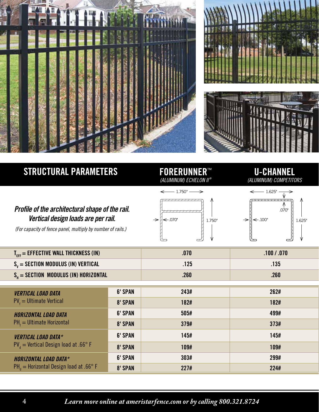



### STRUCTURAL PARAMETERS FORERUNNER™

### *(ALUMINUM) ECHELON II ®*

 $- 1.750$ "

#### U-CHANNEL *(ALUMINUM) COMPETITORS*

#### *Profile of the architectural shape of the rail. Vertical design loads are per rail.*

*(For capacity of fence panel, multiply by number of rails.)* 

|                                     |        |                                | .070"  |
|-------------------------------------|--------|--------------------------------|--------|
| $\leftarrow .070"$<br>$\rightarrow$ | 1.750" | $\n\in .100"$<br>$\rightarrow$ | 1.625" |
|                                     | A      |                                | ١J     |

 $\Lambda$ 

 $\overline{\mathcal{U}}$ 

| $- 1.625$ "       |       |        |
|-------------------|-------|--------|
| $\leftarrow$ 100" | .070" | 1.625" |
|                   |       |        |

| $T_{\text{ref}}$ = EFFECTIVE WALL THICKNESS (IN) | 070  | .100 / .070 |
|--------------------------------------------------|------|-------------|
| $S_v =$ Section modulus (in) vertical            | .125 | <b>135</b>  |
| $S_u = SECTION MODULUS (IN) HORIZONTAL$          | 260  | 260         |

⇐

 $\sqrt{2}$ 

| <b>VERTICAL LOAD DATA</b><br>$PV_{f} = U$ Itimate Vertical               | <b>6' SPAN</b> | 243# | 262# |
|--------------------------------------------------------------------------|----------------|------|------|
|                                                                          | 8' SPAN        | 182# | 182# |
| <b>HORIZONTAL LOAD DATA</b><br>$PH_4 = Ultimate$ Horizontal              | <b>6' SPAN</b> | 505# | 499# |
|                                                                          | 8' SPAN        | 379# | 373# |
| <b>VERTICAL LOAD DATA*</b><br>$PV_{d}$ = Vertical Design load at .66° F  | <b>6' SPAN</b> | 145# | 145# |
|                                                                          | 8' SPAN        | 109# | 109# |
| <b>HORIZONTAL LOAD DATA*</b><br>$PHa$ = Horizontal Design load at .66° F | <b>6' SPAN</b> | 303# | 299# |
|                                                                          | 8' SPAN        | 227# | 224# |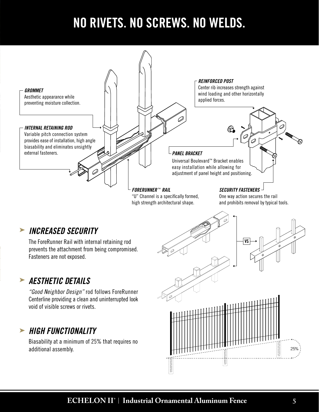### NO RIVETS. NO SCREWS. NO WELDS.



additional assembly.

25%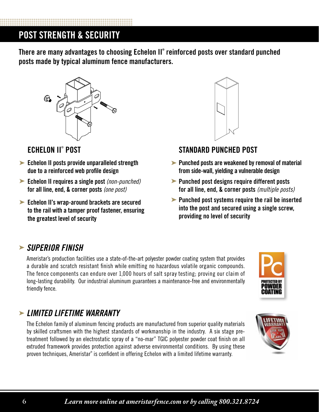### POST STRENGTH & SECURITY

There are many advantages to choosing Echelon II® reinforced posts over standard punched posts made by typical aluminum fence manufacturers.



### **ECHELON II® POST**

- ► Echelon II posts provide unparalleled strength due to a reinforced web profile design
- ► Echelon II requires a single post *(non-punched)* for all line, end, & corner posts *(one post)*
- ► Echelon II's wrap-around brackets are secured to the rail with a tamper proof fastener, ensuring the greatest level of security



### **STANDARD PUNCHED POST**

- $\blacktriangleright$  Punched posts are weakened by removal of material from side-wall, yielding a vulnerable design
- **Punched post designs require different posts** for all line, end, & corner posts *(multiple posts)*
- $\blacktriangleright$  Punched post systems require the rail be inserted into the post and secured using a single screw, providing no level of security

### *SUPERIOR FINISH* ➤

Ameristar's production facilities use a state-of-the-art polyester powder coating system that provides a durable and scratch resistant finish while emitting no hazardous volatile organic compounds. The fence components can endure over 1,000 hours of salt spray testing; proving our claim of long-lasting durability. Our industrial aluminum guarantees a maintenance-free and environmentally friendly fence.



### *LIMITED LIFETIME WARRANTY* ➤

The Echelon family of aluminum fencing products are manufactured from superior quality materials by skilled craftsmen with the highest standards of workmanship in the industry. A six stage pretreatment followed by an electrostatic spray of a "no-mar" TGIC polyester powder coat finish on all extruded framework provides protection against adverse environmental conditions. By using these proven techniques, Ameristar® is confident in offering Echelon with a limited lifetime warranty.

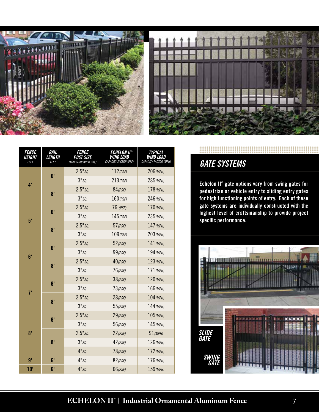



| <b>FENCE</b><br>Height<br><b>FEET</b> | <b>RAIL</b><br>LENGTH<br><b>FEET</b> | <b>FENCE</b><br><b>POST SIZE</b><br><b>INCHES SQUARED (SQ.)</b> | <i>Echelon II®</i><br>Wind Load<br>CAPACITY FACTOR (PSF) | <b>TYPICAL</b><br>Wind Load<br>CAPACITY FACTOR (MPH) |
|---------------------------------------|--------------------------------------|-----------------------------------------------------------------|----------------------------------------------------------|------------------------------------------------------|
| 4 <sup>1</sup>                        | 6 <sup>1</sup>                       | $2.5"$ so.                                                      | $112$ (PSF)                                              | 206 (MPH)                                            |
|                                       |                                      | $3"$ sq.                                                        | $213$ (PSF)                                              | 285 (MPH)                                            |
|                                       | 8 <sup>1</sup>                       | $2.5"$ są.                                                      | $84$ (PSF)                                               | 178 (MPH)                                            |
|                                       |                                      | $3"$ sq.                                                        | $160$ (PSF)                                              | 246 (MPH)                                            |
| 5 <sup>1</sup>                        | 6 <sup>1</sup>                       | $2.5"$ so.                                                      | 76 (PSF)                                                 | 170 (MPH)                                            |
|                                       |                                      | $3"$ sa.                                                        | $145$ (PSF)                                              | 235 (MPH)                                            |
|                                       | 8 <sup>1</sup>                       | $2.5"$ sa.                                                      | $57$ (PSF)                                               | 147 (MPH)                                            |
|                                       |                                      | $3"$ sa.                                                        | $109$ (PSF)                                              | $203$ (MPH)                                          |
| 6 <sup>1</sup>                        | 6 <sup>1</sup>                       | $2.5"$ sa.                                                      | $52$ (PSF)                                               | 141 (МРН)                                            |
|                                       |                                      | $3"$ sa.                                                        | $99$ (PSF)                                               | 194 (MPH)                                            |
|                                       | $\bf{8}$                             | $2.5"$ so.                                                      | $40$ (PSF)                                               | 123 (MPH)                                            |
|                                       |                                      | $3"$ sa.                                                        | $76$ (PSF)                                               | $171$ (MPH)                                          |
|                                       | 6 <sup>1</sup>                       | $2.5"$ so.                                                      | $38$ (PSF)                                               | 120 (MPH)                                            |
| $7^{\circ}$                           |                                      | $3"$ sa.                                                        | $73$ (PSF)                                               | 166 (MPH)                                            |
|                                       | 8 <sup>1</sup>                       | $2.5"$ so.                                                      | $28$ (PSF)                                               | 104 (МРН)                                            |
|                                       |                                      | $3"$ sa.                                                        | $55$ (PSF)                                               | 144 (MPH)                                            |
| 8 <sup>1</sup>                        | 6 <sup>1</sup>                       | $2.5"$ sa.                                                      | $29$ (PSF)                                               | 105(MPH)                                             |
|                                       |                                      | $3"$ sa.                                                        | $56$ (PSF)                                               | 145 (MPH)                                            |
|                                       | $\mathbf{8}^{\mathsf{T}}$            | $2.5"$ so.                                                      | $22$ (PSF)                                               | $91$ (MPH)                                           |
|                                       |                                      | $3"$ sa.                                                        | $42$ (PSF)                                               | 126 (MPH)                                            |
|                                       |                                      | $4"$ sq.                                                        | $78$ (PSF)                                               | 172 (MPH)                                            |
| 9'                                    | 6'                                   | $4"$ sq.                                                        | 82 (PSF)                                                 | 176 (MPH)                                            |
| 10 <sup>1</sup>                       | 6'                                   | $4"$ sq.                                                        | $66$ (PSF)                                               | 159 (MPH)                                            |

### *GATE SYSTEMS*

Echelon II® gate options vary from swing gates for pedestrian or vehicle entry to sliding entry gates for high functioning points of entry. Each of these gate systems are individually constructed with the highest level of craftsmanship to provide project specific performance.